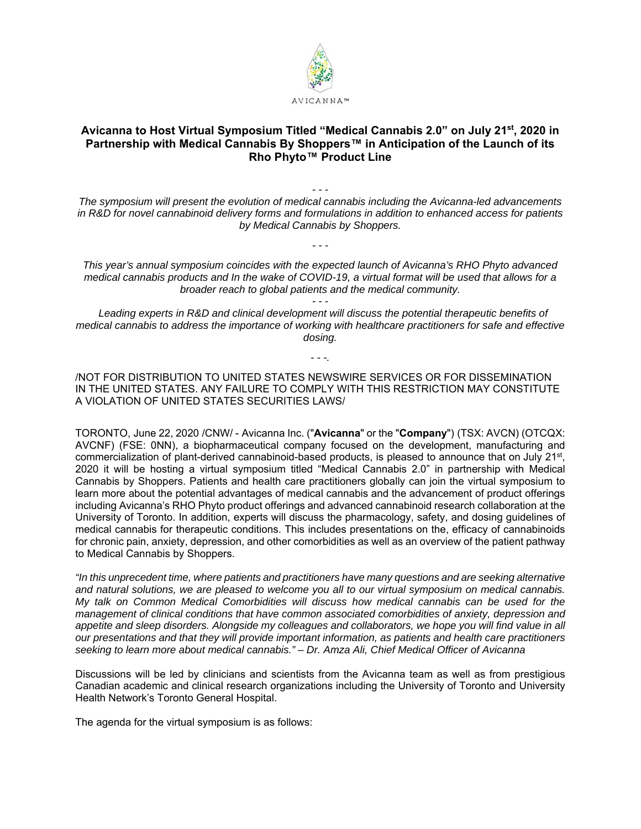

## **Avicanna to Host Virtual Symposium Titled "Medical Cannabis 2.0" on July 21st, 2020 in Partnership with Medical Cannabis By Shoppers™ in Anticipation of the Launch of its Rho Phyto™ Product Line**

*The symposium will present the evolution of medical cannabis including the Avicanna-led advancements in R&D for novel cannabinoid delivery forms and formulations in addition to enhanced access for patients by Medical Cannabis by Shoppers.* 

*- - -* 

*- - -*

*This year's annual symposium coincides with the expected launch of Avicanna's RHO Phyto advanced medical cannabis products and In the wake of COVID-19, a virtual format will be used that allows for a broader reach to global patients and the medical community.* 

 *Leading experts in R&D and clinical development will discuss the potential therapeutic benefits of medical cannabis to address the importance of working with healthcare practitioners for safe and effective dosing.* 

*- - -.* 

/NOT FOR DISTRIBUTION TO UNITED STATES NEWSWIRE SERVICES OR FOR DISSEMINATION IN THE UNITED STATES. ANY FAILURE TO COMPLY WITH THIS RESTRICTION MAY CONSTITUTE A VIOLATION OF UNITED STATES SECURITIES LAWS/

TORONTO, June 22, 2020 /CNW/ - Avicanna Inc. ("**Avicanna**" or the "**Company**") (TSX: AVCN) (OTCQX: AVCNF) (FSE: 0NN), a biopharmaceutical company focused on the development, manufacturing and commercialization of plant-derived cannabinoid-based products, is pleased to announce that on July 21<sup>st</sup>, 2020 it will be hosting a virtual symposium titled "Medical Cannabis 2.0" in partnership with Medical Cannabis by Shoppers. Patients and health care practitioners globally can join the virtual symposium to learn more about the potential advantages of medical cannabis and the advancement of product offerings including Avicanna's RHO Phyto product offerings and advanced cannabinoid research collaboration at the University of Toronto. In addition, experts will discuss the pharmacology, safety, and dosing guidelines of medical cannabis for therapeutic conditions. This includes presentations on the, efficacy of cannabinoids for chronic pain, anxiety, depression, and other comorbidities as well as an overview of the patient pathway to Medical Cannabis by Shoppers.

*"In this unprecedent time, where patients and practitioners have many questions and are seeking alternative and natural solutions, we are pleased to welcome you all to our virtual symposium on medical cannabis. My talk on Common Medical Comorbidities will discuss how medical cannabis can be used for the management of clinical conditions that have common associated comorbidities of anxiety, depression and*  appetite and sleep disorders. Alongside my colleagues and collaborators, we hope you will find value in all *our presentations and that they will provide important information, as patients and health care practitioners seeking to learn more about medical cannabis." – Dr. Amza Ali, Chief Medical Officer of Avicanna* 

Discussions will be led by clinicians and scientists from the Avicanna team as well as from prestigious Canadian academic and clinical research organizations including the University of Toronto and University Health Network's Toronto General Hospital.

The agenda for the virtual symposium is as follows: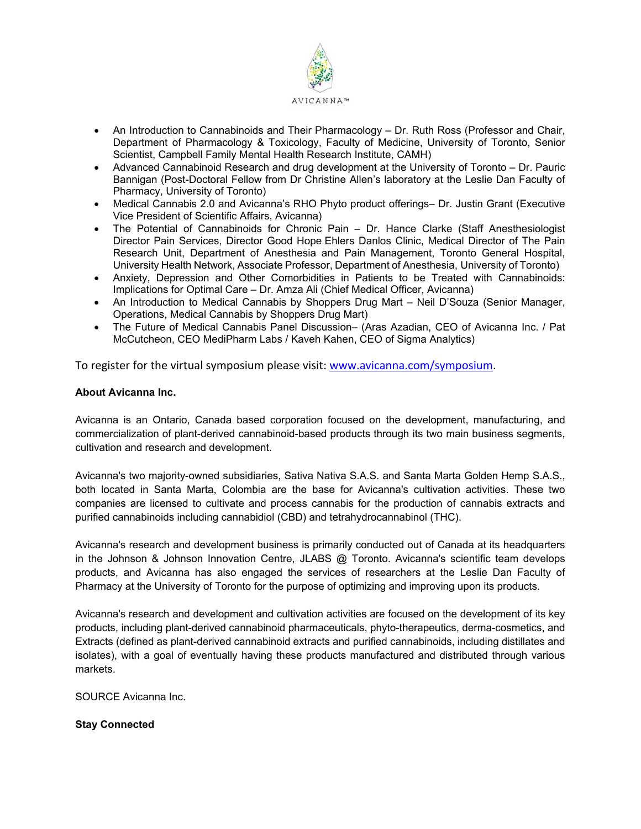

- An Introduction to Cannabinoids and Their Pharmacology Dr. Ruth Ross (Professor and Chair, Department of Pharmacology & Toxicology, Faculty of Medicine, University of Toronto, Senior Scientist, Campbell Family Mental Health Research Institute, CAMH)
- Advanced Cannabinoid Research and drug development at the University of Toronto Dr. Pauric Bannigan (Post-Doctoral Fellow from Dr Christine Allen's laboratory at the Leslie Dan Faculty of Pharmacy, University of Toronto)
- Medical Cannabis 2.0 and Avicanna's RHO Phyto product offerings– Dr. Justin Grant (Executive Vice President of Scientific Affairs, Avicanna)
- The Potential of Cannabinoids for Chronic Pain Dr. Hance Clarke (Staff Anesthesiologist Director Pain Services, Director Good Hope Ehlers Danlos Clinic, Medical Director of The Pain Research Unit, Department of Anesthesia and Pain Management, Toronto General Hospital, University Health Network, Associate Professor, Department of Anesthesia, University of Toronto)
- Anxiety, Depression and Other Comorbidities in Patients to be Treated with Cannabinoids: Implications for Optimal Care – Dr. Amza Ali (Chief Medical Officer, Avicanna)
- An Introduction to Medical Cannabis by Shoppers Drug Mart Neil D'Souza (Senior Manager, Operations, Medical Cannabis by Shoppers Drug Mart)
- The Future of Medical Cannabis Panel Discussion– (Aras Azadian, CEO of Avicanna Inc. / Pat McCutcheon, CEO MediPharm Labs / Kaveh Kahen, CEO of Sigma Analytics)

To register for the virtual symposium please visit: www.avicanna.com/symposium.

## **About Avicanna Inc.**

Avicanna is an Ontario, Canada based corporation focused on the development, manufacturing, and commercialization of plant-derived cannabinoid-based products through its two main business segments, cultivation and research and development.

Avicanna's two majority-owned subsidiaries, Sativa Nativa S.A.S. and Santa Marta Golden Hemp S.A.S., both located in Santa Marta, Colombia are the base for Avicanna's cultivation activities. These two companies are licensed to cultivate and process cannabis for the production of cannabis extracts and purified cannabinoids including cannabidiol (CBD) and tetrahydrocannabinol (THC).

Avicanna's research and development business is primarily conducted out of Canada at its headquarters in the Johnson & Johnson Innovation Centre, JLABS @ Toronto. Avicanna's scientific team develops products, and Avicanna has also engaged the services of researchers at the Leslie Dan Faculty of Pharmacy at the University of Toronto for the purpose of optimizing and improving upon its products.

Avicanna's research and development and cultivation activities are focused on the development of its key products, including plant-derived cannabinoid pharmaceuticals, phyto-therapeutics, derma-cosmetics, and Extracts (defined as plant-derived cannabinoid extracts and purified cannabinoids, including distillates and isolates), with a goal of eventually having these products manufactured and distributed through various markets.

SOURCE Avicanna Inc.

## **Stay Connected**